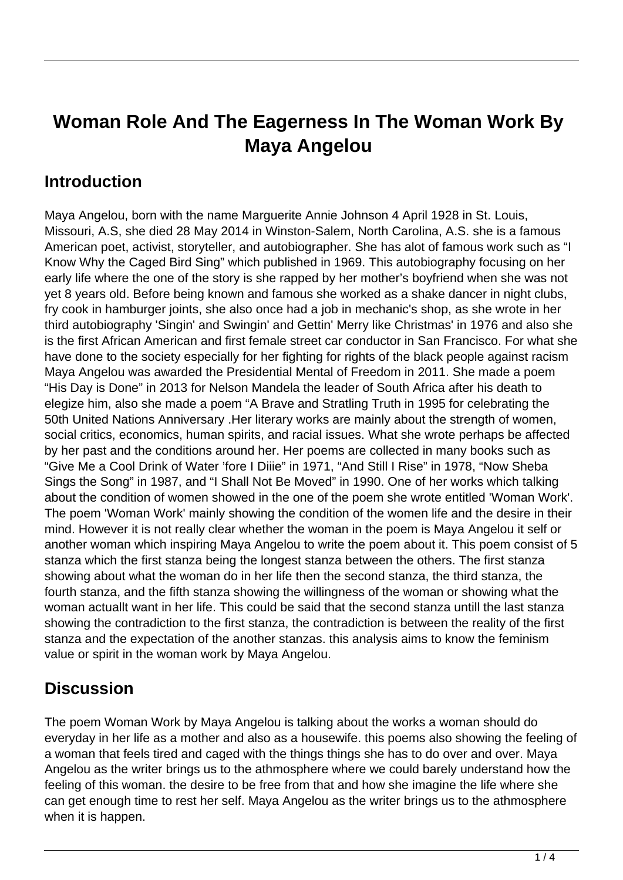# **Woman Role And The Eagerness In The Woman Work By Maya Angelou**

### **Introduction**

Maya Angelou, born with the name Marguerite Annie Johnson 4 April 1928 in St. Louis, Missouri, A.S, she died 28 May 2014 in Winston-Salem, North Carolina, A.S. she is a famous American poet, activist, storyteller, and autobiographer. She has alot of famous work such as "I Know Why the Caged Bird Sing" which published in 1969. This autobiography focusing on her early life where the one of the story is she rapped by her mother's boyfriend when she was not yet 8 years old. Before being known and famous she worked as a shake dancer in night clubs, fry cook in hamburger joints, she also once had a job in mechanic's shop, as she wrote in her third autobiography 'Singin' and Swingin' and Gettin' Merry like Christmas' in 1976 and also she is the first African American and first female street car conductor in San Francisco. For what she have done to the society especially for her fighting for rights of the black people against racism Maya Angelou was awarded the Presidential Mental of Freedom in 2011. She made a poem "His Day is Done" in 2013 for Nelson Mandela the leader of South Africa after his death to elegize him, also she made a poem "A Brave and Stratling Truth in 1995 for celebrating the 50th United Nations Anniversary .Her literary works are mainly about the strength of women, social critics, economics, human spirits, and racial issues. What she wrote perhaps be affected by her past and the conditions around her. Her poems are collected in many books such as "Give Me a Cool Drink of Water 'fore I Diiie" in 1971, "And Still I Rise" in 1978, "Now Sheba Sings the Song" in 1987, and "I Shall Not Be Moved" in 1990. One of her works which talking about the condition of women showed in the one of the poem she wrote entitled 'Woman Work'. The poem 'Woman Work' mainly showing the condition of the women life and the desire in their mind. However it is not really clear whether the woman in the poem is Maya Angelou it self or another woman which inspiring Maya Angelou to write the poem about it. This poem consist of 5 stanza which the first stanza being the longest stanza between the others. The first stanza showing about what the woman do in her life then the second stanza, the third stanza, the fourth stanza, and the fifth stanza showing the willingness of the woman or showing what the woman actuallt want in her life. This could be said that the second stanza untill the last stanza showing the contradiction to the first stanza, the contradiction is between the reality of the first stanza and the expectation of the another stanzas. this analysis aims to know the feminism value or spirit in the woman work by Maya Angelou.

#### **Discussion**

The poem Woman Work by Maya Angelou is talking about the works a woman should do everyday in her life as a mother and also as a housewife. this poems also showing the feeling of a woman that feels tired and caged with the things things she has to do over and over. Maya Angelou as the writer brings us to the athmosphere where we could barely understand how the feeling of this woman. the desire to be free from that and how she imagine the life where she can get enough time to rest her self. Maya Angelou as the writer brings us to the athmosphere when it is happen.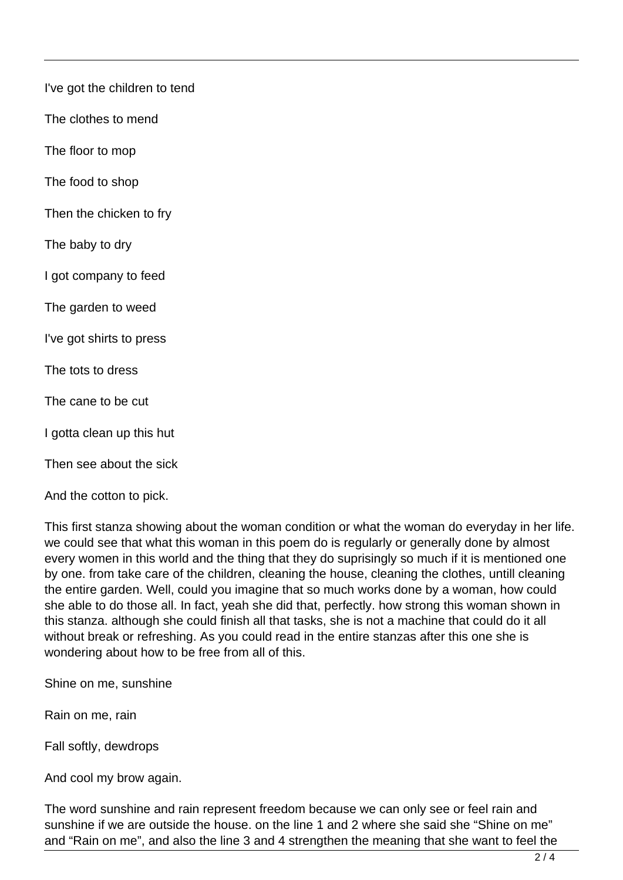I've got the children to tend

The clothes to mend

The floor to mop

The food to shop

Then the chicken to fry

The baby to dry

I got company to feed

The garden to weed

I've got shirts to press

The tots to dress

The cane to be cut

I gotta clean up this hut

Then see about the sick

And the cotton to pick.

This first stanza showing about the woman condition or what the woman do everyday in her life. we could see that what this woman in this poem do is regularly or generally done by almost every women in this world and the thing that they do suprisingly so much if it is mentioned one by one. from take care of the children, cleaning the house, cleaning the clothes, untill cleaning the entire garden. Well, could you imagine that so much works done by a woman, how could she able to do those all. In fact, yeah she did that, perfectly. how strong this woman shown in this stanza. although she could finish all that tasks, she is not a machine that could do it all without break or refreshing. As you could read in the entire stanzas after this one she is wondering about how to be free from all of this.

Shine on me, sunshine

Rain on me, rain

Fall softly, dewdrops

And cool my brow again.

The word sunshine and rain represent freedom because we can only see or feel rain and sunshine if we are outside the house. on the line 1 and 2 where she said she "Shine on me" and "Rain on me", and also the line 3 and 4 strengthen the meaning that she want to feel the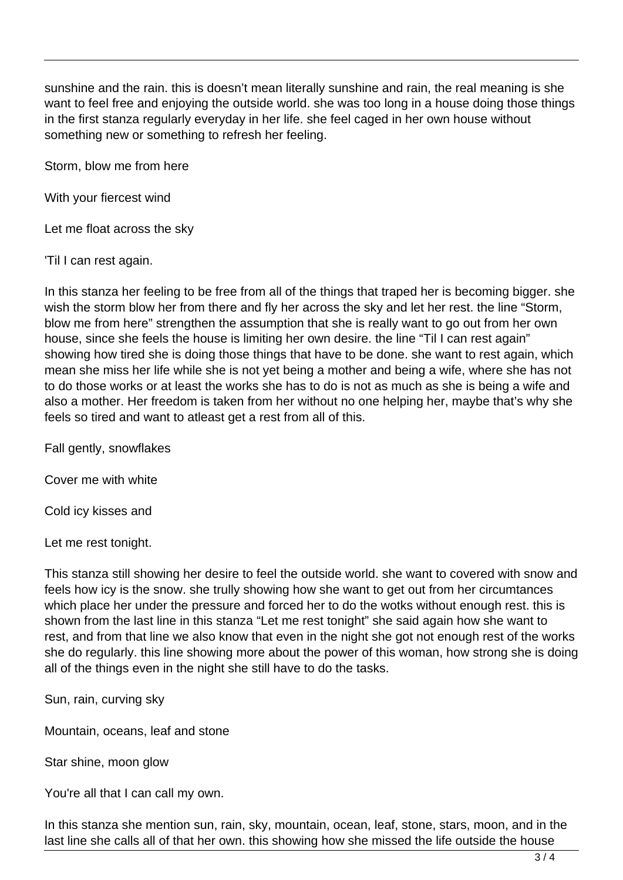sunshine and the rain. this is doesn't mean literally sunshine and rain, the real meaning is she want to feel free and enjoying the outside world. she was too long in a house doing those things in the first stanza regularly everyday in her life. she feel caged in her own house without something new or something to refresh her feeling.

Storm, blow me from here

With your fiercest wind

Let me float across the sky

'Til I can rest again.

In this stanza her feeling to be free from all of the things that traped her is becoming bigger. she wish the storm blow her from there and fly her across the sky and let her rest. the line "Storm, blow me from here" strengthen the assumption that she is really want to go out from her own house, since she feels the house is limiting her own desire. the line "Til I can rest again" showing how tired she is doing those things that have to be done. she want to rest again, which mean she miss her life while she is not yet being a mother and being a wife, where she has not to do those works or at least the works she has to do is not as much as she is being a wife and also a mother. Her freedom is taken from her without no one helping her, maybe that's why she feels so tired and want to atleast get a rest from all of this.

Fall gently, snowflakes

Cover me with white

Cold icy kisses and

Let me rest tonight.

This stanza still showing her desire to feel the outside world. she want to covered with snow and feels how icy is the snow. she trully showing how she want to get out from her circumtances which place her under the pressure and forced her to do the wotks without enough rest. this is shown from the last line in this stanza "Let me rest tonight" she said again how she want to rest, and from that line we also know that even in the night she got not enough rest of the works she do regularly. this line showing more about the power of this woman, how strong she is doing all of the things even in the night she still have to do the tasks.

Sun, rain, curving sky

Mountain, oceans, leaf and stone

Star shine, moon glow

You're all that I can call my own.

In this stanza she mention sun, rain, sky, mountain, ocean, leaf, stone, stars, moon, and in the last line she calls all of that her own. this showing how she missed the life outside the house